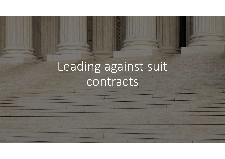# Leading against suit contracts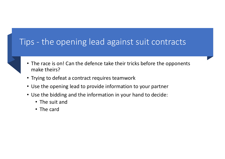# Tips - the opening lead against suit contracts

- The race is on! Can the defence take their tricks before the opponents make theirs?
- Trying to defeat a contract requires teamwork
- Use the opening lead to provide information to your partner
- Use the bidding and the information in your hand to decide:
	- The suit and
	- The card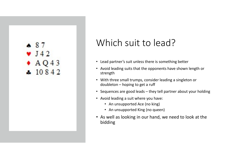### $* 87$  $\bullet$  J42  $\bullet$  AQ43  $410842$

### Which suit to lead?

- Lead partner's suit unless there is something better
- Avoid leading suits that the opponents have shown length or strength Which Suit to lead?<br>
Lead partner's suit unless there is something better<br>
Avoid leading suits that the opponents have shown length or<br>
strength<br>
With three small trumps, consider leading a singleton or<br>
doubleton – hoping
- With three small trumps, consider leading a singleton or
- 
- Avoid leading a suit where you have:
	- An unsupported Ace (no king)
	- An unsupported King (no queen)
- As well as looking in our hand, we need to look at the bidding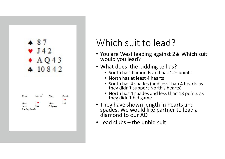|      | Δ     |      |                      |
|------|-------|------|----------------------|
|      |       |      |                      |
|      |       |      | 3                    |
|      |       |      |                      |
|      |       | 1084 |                      |
|      |       |      |                      |
|      |       |      |                      |
|      |       |      |                      |
|      |       |      |                      |
|      |       |      |                      |
|      |       |      |                      |
|      |       |      |                      |
| West | North | East | South<br>$1 \bullet$ |
| Pass | 1     | Pass | $1 \bullet$          |

## Which suit to lead?

- You are West leading against 2. Which suit would you lead?
- What does the bidding tell us?
	- South has diamonds and has 12+ points
	- North has at least 4 hearts
	- South has 4 spades (and less than 4 hearts as they didn't support North's hearts)
	- North has 4 spades and less than 13 points as they didn't bid game
- They have shown length in hearts and spades. We would like partner to lead a diamond to our AQ **• What does the bidding tell us?**<br>• South has diamonds and has 12+ points<br>• South has at least 4 hearts<br>• South has 4 spades (and less than 4 hearts as<br>they didn't support North's hearts)<br>• North has 4 spades and less th
-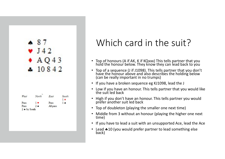| $\mathbf{1}$ |                        |                            |
|--------------|------------------------|----------------------------|
|              |                        |                            |
|              |                        |                            |
| A            | $\boldsymbol{\Lambda}$ | 3                          |
|              |                        |                            |
|              |                        |                            |
| North        | East                   | South                      |
|              |                        | $1 \bullet$<br>$1 \bullet$ |
|              | $\mathbf{1}$           | 1084<br>Pass               |

## Which card in the suit?

- Top of honours (A if AK, K if KQxxx) This tells partner that you hold the honour below. They know they can lead back to you
- Top of a sequence (J if J1098). This tells partner that you don't have the honour above and also describes the holding below (can be really important in no trumps)
- If you have a broken sequence eg KJ1098, lead the J
- Low if you have an honour. This tells partner that you would like the suit led back
- High if you don't have an honour. This tells partner you would prefer another suit led back
- Top of doubleton (playing the smaller one next time)
- Middle from 3 without an honour (playing the higher one next time)
- If you have to lead a suit with an unsupported Ace, lead the Ace
- Lead  $*10$  (you would prefer partner to lead something else back)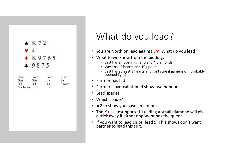

### What do you lead?

- You are North on lead against  $3\vee$ . What do you lead?
- What to we know from the bidding:
	- East has an opening hand and 4 diamonds
	- West has 5 hearts and 10+ points
	- East has at least 3 hearts and isn't sure if game is on (probably opened light)
- Partner has bid!
- Partner's overcall should show two honours.
- Lead spades
- Which spade?
- 
- You are North on lead against 3 •. What do you lead?<br>• What to we know from the bidding:<br>• Last has an opening hand and 4 diamonds<br>• Vest has 5 hearts and 10+ points<br>• East has at least 3 hearts and isn't sure if game is
- If you want to lead clubs, lead 9. This shows don't want partner to lead this suit.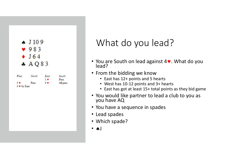

### What do you lead?

- You are South on lead against 4. What do you lead?
- From the bidding we know
	- East has 12+ points and 5 hearts
	- West has 10-12 points and 3+ hearts
	- East has got at least 15+ total points as they bid game
- You would like partner to lead a club to you as you have AQ
- You have a sequence in spades
- Lead spades
- Which spade?
- $\bullet$   $\bullet$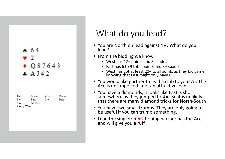

| West           | North    | East        | South |
|----------------|----------|-------------|-------|
| $1 \bullet$    | Pass     | $2 \bullet$ | Pass  |
| $4 \spadesuit$ | All pass |             |       |
| 4 A by West    |          |             |       |

### What do you lead?

- You are North on lead against 4.. What do you<br>lead?
- From the bidding we know
	- West has 12+ points and 5 spades
	- East has 6 to 9 total points and 3+ spades
	- West has got at least 20+ total points as they bid game, knowing that East might only have 6
- 
- You are North on lead against 4•. What do you<br>
 You are North on lead against 4•. What do you<br>
 From the bidding we know<br>
 West has 12+ points and 5 spades<br>
 East has 6 to 9 total points and 3+ spades<br>
 West has got • You have 6 diamonds, it looks like East is short<br>somewhere as they jumped to 4. So it is unlikely somewhere as they jumped to 4. So it is unlikely that there are many diamond tricks for North-South
- You have two small trumps. They are only going to be useful if you can trump something.
- Lead the singleton  $\vee$  2 hoping partner has the Ace and will give you a ruff